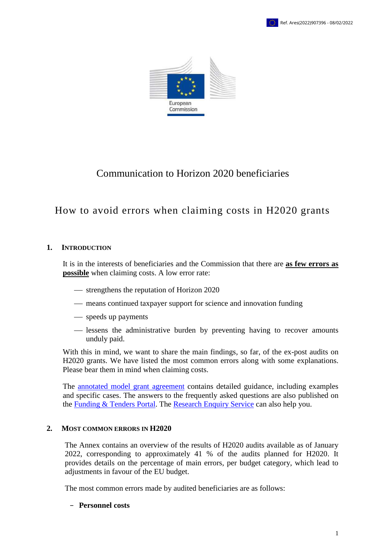



# Communication to Horizon 2020 beneficiaries

# How to avoid errors when claiming costs in H2020 grants

## **1. INTRODUCTION**

It is in the interests of beneficiaries and the Commission that there are **as few errors as possible** when claiming costs. A low error rate:

- strengthens the reputation of Horizon 2020
- means continued taxpayer support for science and innovation funding
- speeds up payments
- lessens the administrative burden by preventing having to recover amounts unduly paid.

With this in mind, we want to share the main findings, so far, of the ex-post audits on H2020 grants. We have listed the most common errors along with some explanations. Please bear them in mind when claiming costs.

The **annotated** model grant agreement contains detailed guidance, including examples and specific cases. The answers to the frequently asked questions are also published on the [Funding & Tenders](https://ec.europa.eu/info/funding-tenders/opportunities/portal/screen/support/faq;categories=;programme=null;actions=;keyword=) Portal. The [Research Enquiry Service](http://ec.europa.eu/research/index.cfm?pg=enquiries) can also help you.

## **2. MOST COMMON ERRORS IN H2020**

The Annex contains an overview of the results of H2020 audits available as of January 2022, corresponding to approximately 41 % of the audits planned for H2020. It provides details on the percentage of main errors, per budget category, which lead to adjustments in favour of the EU budget.

The most common errors made by audited beneficiaries are as follows:

### − **Personnel costs**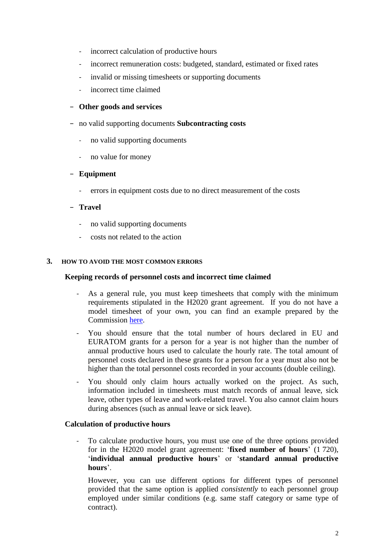- incorrect calculation of productive hours
- incorrect remuneration costs: budgeted, standard, estimated or fixed rates
- invalid or missing timesheets or supporting documents
- incorrect time claimed

## − **Other goods and services**

- − no valid supporting documents **Subcontracting costs**
	- no valid supporting documents
	- no value for money

## − **Equipment**

- errors in equipment costs due to no direct measurement of the costs

## − **Travel**

- no valid supporting documents
- costs not related to the action

### **3. HOW TO AVOID THE MOST COMMON ERRORS**

### **Keeping records of personnel costs and incorrect time claimed**

- As a general rule, you must keep timesheets that comply with the minimum requirements stipulated in the H2020 grant agreement. If you do not have a model timesheet of your own, you can find an example prepared by the Commission [here.](http://ec.europa.eu/research/participants/data/ref/h2020/other/legal/templ/tmpl_time-records_en.docx)
- You should ensure that the total number of hours declared in EU and EURATOM grants for a person for a year is not higher than the number of annual productive hours used to calculate the hourly rate. The total amount of personnel costs declared in these grants for a person for a year must also not be higher than the total personnel costs recorded in your accounts (double ceiling).
- You should only claim hours actually worked on the project. As such, information included in timesheets must match records of annual leave, sick leave, other types of leave and work-related travel. You also cannot claim hours during absences (such as annual leave or sick leave).

### **Calculation of productive hours**

- To calculate productive hours, you must use one of the three options provided for in the H2020 model grant agreement: '**fixed number of hours**' (1 720), '**individual annual productive hours**' or '**standard annual productive hours**'.

However, you can use different options for different types of personnel provided that the same option is applied *consistently* to each personnel group employed under similar conditions (e.g. same staff category or same type of contract).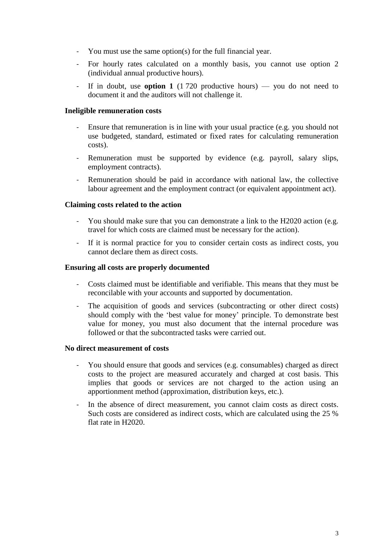- You must use the same option(s) for the full financial year.
- For hourly rates calculated on a monthly basis, you cannot use option 2 (individual annual productive hours).
- If in doubt, use **option 1** (1720 productive hours) you do not need to document it and the auditors will not challenge it.

#### **Ineligible remuneration costs**

- Ensure that remuneration is in line with your usual practice (e.g. you should not use budgeted, standard, estimated or fixed rates for calculating remuneration costs).
- Remuneration must be supported by evidence (e.g. payroll, salary slips, employment contracts).
- Remuneration should be paid in accordance with national law, the collective labour agreement and the employment contract (or equivalent appointment act).

#### **Claiming costs related to the action**

- You should make sure that you can demonstrate a link to the H2020 action (e.g. travel for which costs are claimed must be necessary for the action).
- If it is normal practice for you to consider certain costs as indirect costs, you cannot declare them as direct costs.

#### **Ensuring all costs are properly documented**

- Costs claimed must be identifiable and verifiable. This means that they must be reconcilable with your accounts and supported by documentation.
- The acquisition of goods and services (subcontracting or other direct costs) should comply with the 'best value for money' principle. To demonstrate best value for money, you must also document that the internal procedure was followed or that the subcontracted tasks were carried out.

#### **No direct measurement of costs**

- You should ensure that goods and services (e.g. consumables) charged as direct costs to the project are measured accurately and charged at cost basis. This implies that goods or services are not charged to the action using an apportionment method (approximation, distribution keys, etc.).
- In the absence of direct measurement, you cannot claim costs as direct costs. Such costs are considered as indirect costs, which are calculated using the 25 % flat rate in H2020.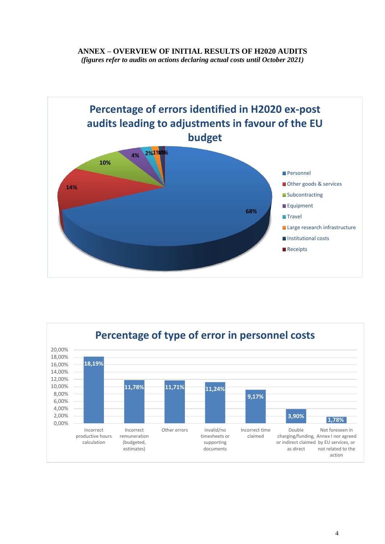### **ANNEX – OVERVIEW OF INITIAL RESULTS OF H2020 AUDITS** *(figures refer to audits on actions declaring actual costs until October 2021)*



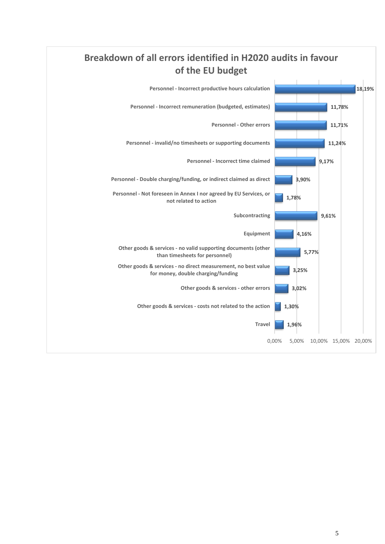